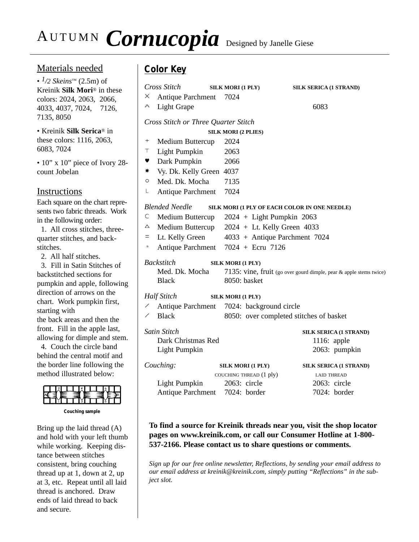# AUTUMN **Cornucopia** Designed by Janelle Giese

## Materials needed

• *1/2 Skeins™* (2.5m) of Kreinik **Silk Mori**® in these colors: 2024, 2063, 2066, 4033, 4037, 7024, 7126, 7135, 8050

• Kreinik **Silk Serica**® in these colors: 1116, 2063, 6083, 7024

• 10" x 10" piece of Ivory 28count Jobelan

## **Instructions**

Each square on the chart represents two fabric threads. Work in the following order:

1. All cross stitches, threequarter stitches, and backstitches.

2. All half stitches.

3. Fill in Satin Stitches of backstitched sections for pumpkin and apple, following direction of arrows on the chart. Work pumpkin first, starting with

the back areas and then the front. Fill in the apple last, allowing for dimple and stem.

4. Couch the circle band behind the central motif and the border line following the method illustrated below:



**Couching sample**

Bring up the laid thread (A) and hold with your left thumb while working. Keeping distance between stitches consistent, bring couching thread up at 1, down at 2, up at 3, etc. Repeat until all laid thread is anchored. Draw ends of laid thread to back and secure.

## **Color Key**

| X                                                                      | Cross Stitch<br>Antique Parchment                                                    | SILK MORI (1 PLY)<br>7024               | SILK SERICA (1 STRAND) |                               |  |
|------------------------------------------------------------------------|--------------------------------------------------------------------------------------|-----------------------------------------|------------------------|-------------------------------|--|
| ∧                                                                      | Light Grape                                                                          |                                         | 6083                   |                               |  |
| Cross Stitch or Three Quarter Stitch                                   |                                                                                      |                                         |                        |                               |  |
|                                                                        | <b>SILK MORI (2 PLIES)</b>                                                           |                                         |                        |                               |  |
| $^{+}$                                                                 | Medium Buttercup                                                                     | 2024                                    |                        |                               |  |
| Τ                                                                      | <b>Light Pumpkin</b>                                                                 | 2063                                    |                        |                               |  |
| Y                                                                      | Dark Pumpkin                                                                         | 2066                                    |                        |                               |  |
| *                                                                      | Vy. Dk. Kelly Green 4037                                                             |                                         |                        |                               |  |
| O                                                                      | Med. Dk. Mocha                                                                       | 7135                                    |                        |                               |  |
| L                                                                      | <b>Antique Parchment</b>                                                             | 7024                                    |                        |                               |  |
| <b>Blended Needle</b><br>SILK MORI (1 PLY OF EACH COLOR IN ONE NEEDLE) |                                                                                      |                                         |                        |                               |  |
| С                                                                      | Medium Buttercup                                                                     | $2024 + Light Pumpkin 2063$             |                        |                               |  |
| △                                                                      | Medium Buttercup                                                                     | $2024 + Lt$ . Kelly Green 4033          |                        |                               |  |
| $=$                                                                    | Lt. Kelly Green                                                                      | 4033 + Antique Parchment 7024           |                        |                               |  |
| $\Box$                                                                 | <b>Antique Parchment</b>                                                             | $7024 + Ecru$ 7126                      |                        |                               |  |
| <b>Backstitch</b><br>SILK MORI (1 PLY)                                 |                                                                                      |                                         |                        |                               |  |
|                                                                        | Med. Dk. Mocha<br>7135: vine, fruit (go over gourd dimple, pear & apple stems twice) |                                         |                        |                               |  |
|                                                                        | <b>Black</b>                                                                         | 8050: basket                            |                        |                               |  |
| <b>Half Stitch</b><br>SILK MORI (1 PLY)                                |                                                                                      |                                         |                        |                               |  |
|                                                                        | <b>Antique Parchment</b><br>7024: background circle                                  |                                         |                        |                               |  |
|                                                                        | <b>Black</b>                                                                         | 8050: over completed stitches of basket |                        |                               |  |
| Satin Stitch                                                           |                                                                                      |                                         |                        | <b>SILK SERICA (1 STRAND)</b> |  |
|                                                                        | Dark Christmas Red                                                                   |                                         |                        | 1116: apple                   |  |
|                                                                        | <b>Light Pumpkin</b>                                                                 |                                         |                        | 2063: pumpkin                 |  |
|                                                                        | Couching:                                                                            | <b>SILK MORI (1 PLY)</b>                |                        | <b>SILK SERICA (1 STRAND)</b> |  |
|                                                                        |                                                                                      | COUCHING THREAD (1 ply)                 |                        | <b>LAID THREAD</b>            |  |
|                                                                        | Light Pumpkin                                                                        | 2063: circle                            |                        | 2063: circle                  |  |
|                                                                        | Antique Parchment 7024: border                                                       |                                         |                        | 7024: border                  |  |
|                                                                        |                                                                                      |                                         |                        |                               |  |

### **To find a source for Kreinik threads near you, visit the shop locator pages on www.kreinik.com, or call our Consumer Hotline at 1-800- 537-2166. Please contact us to share questions or comments.**

*Sign up for our free online newsletter, Reflections, by sending your email address to our email address at kreinik@kreinik.com, simply putting "Reflections" in the subject slot.*